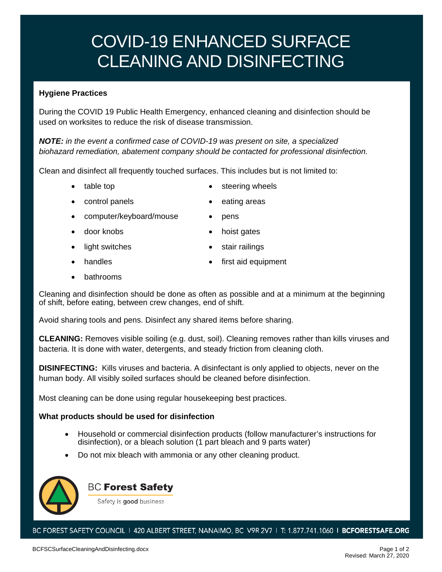# COVID-19 ENHANCED SURFACE CLEANING AND DISINFECTING

## **Hygiene Practices**

During the COVID 19 Public Health Emergency, enhanced cleaning and disinfection should be used on worksites to reduce the risk of disease transmission.

*NOTE: in the event a confirmed case of COVID-19 was present on site, a specialized biohazard remediation, abatement company should be contacted for professional disinfection.*

Clean and disinfect all frequently touched surfaces. This includes but is not limited to:

- - table top **•** steering wheels
- control panels eating areas
	-
- computer/keyboard/mouse pens
	-
- door knobs **•** hoist gates
	- light switches stair railings
- - handles **•** first aid equipment
- bathrooms

Cleaning and disinfection should be done as often as possible and at a minimum at the beginning of shift, before eating, between crew changes, end of shift.

Avoid sharing tools and pens. Disinfect any shared items before sharing.

**CLEANING:** Removes visible soiling (e.g. dust, soil). Cleaning removes rather than kills viruses and bacteria. It is done with water, detergents, and steady friction from cleaning cloth.

**DISINFECTING:** Kills viruses and bacteria. A disinfectant is only applied to objects, never on the human body. All visibly soiled surfaces should be cleaned before disinfection.

Most cleaning can be done using regular housekeeping best practices.

### **What products should be used for disinfection**

- Household or commercial disinfection products (follow manufacturer's instructions for disinfection), or a bleach solution (1 part bleach and 9 parts water)
- Do not mix bleach with ammonia or any other cleaning product.



# **BC Forest Safety**

Safety is good business

BC FOREST SAFETY COUNCIL 1 420 ALBERT STREET, NANAIMO, BC V9R 2V7 1 T: 1.877.741.1060 1 BCFORESTSAFE.ORG